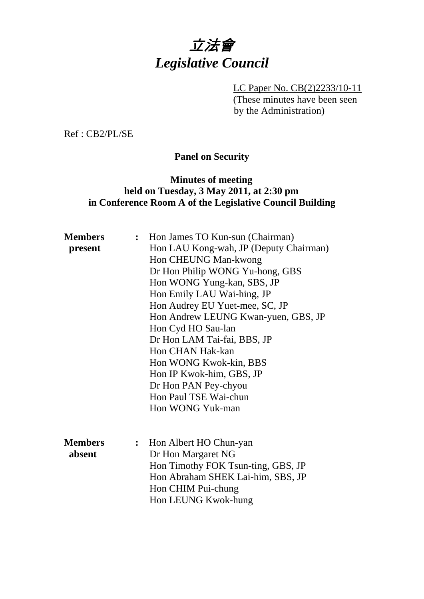# 立法會 *Legislative Council*

LC Paper No. CB(2)2233/10-11 (These minutes have been seen by the Administration)

Ref : CB2/PL/SE

# **Panel on Security**

## **Minutes of meeting held on Tuesday, 3 May 2011, at 2:30 pm in Conference Room A of the Legislative Council Building**

| <b>Members</b> | $\ddot{\cdot}$ | Hon James TO Kun-sun (Chairman)        |
|----------------|----------------|----------------------------------------|
| present        |                | Hon LAU Kong-wah, JP (Deputy Chairman) |
|                |                | Hon CHEUNG Man-kwong                   |
|                |                | Dr Hon Philip WONG Yu-hong, GBS        |
|                |                | Hon WONG Yung-kan, SBS, JP             |
|                |                | Hon Emily LAU Wai-hing, JP             |
|                |                | Hon Audrey EU Yuet-mee, SC, JP         |
|                |                | Hon Andrew LEUNG Kwan-yuen, GBS, JP    |
|                |                | Hon Cyd HO Sau-lan                     |
|                |                | Dr Hon LAM Tai-fai, BBS, JP            |
|                |                | Hon CHAN Hak-kan                       |
|                |                | Hon WONG Kwok-kin, BBS                 |
|                |                | Hon IP Kwok-him, GBS, JP               |
|                |                | Dr Hon PAN Pey-chyou                   |
|                |                | Hon Paul TSE Wai-chun                  |
|                |                | Hon WONG Yuk-man                       |
|                |                |                                        |
|                |                |                                        |
| <b>Members</b> |                | Hon Albert HO Chun-yan                 |
| absent         |                | Dr Hon Margaret NG                     |
|                |                | Hon Timothy FOK Tsun-ting, GBS, JP     |
|                |                | Hon Abraham SHEK Lai-him, SBS, JP      |
|                |                | Hon CHIM Pui-chung                     |
|                |                | Hon LEUNG Kwok-hung                    |
|                |                |                                        |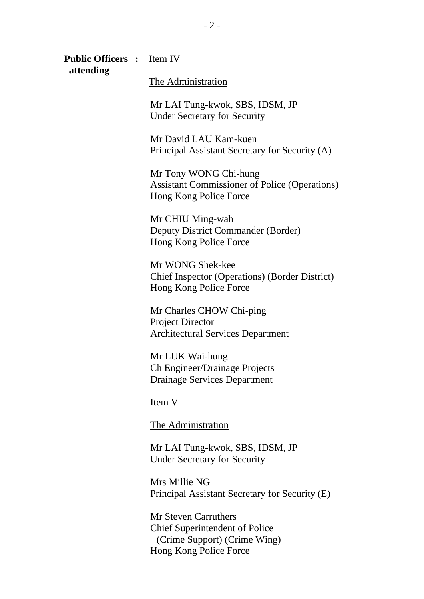**Public Officers :** Item IV  **attending**  The Administration Mr LAI Tung-kwok, SBS, IDSM, JP Under Secretary for Security Mr David LAU Kam-kuen Principal Assistant Secretary for Security (A) Mr Tony WONG Chi-hung Assistant Commissioner of Police (Operations) Hong Kong Police Force Mr CHIU Ming-wah Deputy District Commander (Border) Hong Kong Police Force Mr WONG Shek-kee Chief Inspector (Operations) (Border District) Hong Kong Police Force Mr Charles CHOW Chi-ping Project Director Architectural Services Department Mr LUK Wai-hung Ch Engineer/Drainage Projects Drainage Services Department Item V The Administration Mr LAI Tung-kwok, SBS, IDSM, JP Under Secretary for Security Mrs Millie NG

Principal Assistant Secretary for Security (E)

Mr Steven Carruthers Chief Superintendent of Police (Crime Support) (Crime Wing) Hong Kong Police Force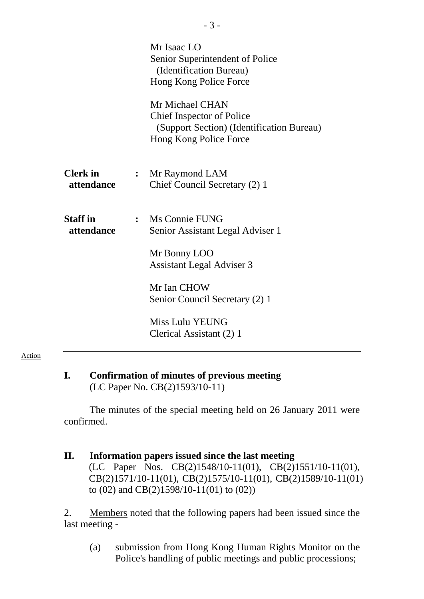|                               |                | Mr Isaac LO<br>Senior Superintendent of Police<br>(Identification Bureau)<br>Hong Kong Police Force<br>Mr Michael CHAN<br><b>Chief Inspector of Police</b><br>(Support Section) (Identification Bureau)<br>Hong Kong Police Force |
|-------------------------------|----------------|-----------------------------------------------------------------------------------------------------------------------------------------------------------------------------------------------------------------------------------|
| <b>Clerk</b> in<br>attendance | $\ddot{\cdot}$ | Mr Raymond LAM<br>Chief Council Secretary (2) 1                                                                                                                                                                                   |
| <b>Staff</b> in<br>attendance | $\ddot{\cdot}$ | Ms Connie FUNG<br>Senior Assistant Legal Adviser 1                                                                                                                                                                                |
|                               |                | Mr Bonny LOO<br><b>Assistant Legal Adviser 3</b>                                                                                                                                                                                  |
|                               |                | Mr Ian CHOW<br>Senior Council Secretary (2) 1                                                                                                                                                                                     |
|                               |                | <b>Miss Lulu YEUNG</b><br>Clerical Assistant (2) 1                                                                                                                                                                                |

#### Action

#### **I. Confirmation of minutes of previous meeting**  (LC Paper No. CB(2)1593/10-11)

The minutes of the special meeting held on 26 January 2011 were confirmed.

# **II. Information papers issued since the last meeting**  (LC Paper Nos. CB(2)1548/10-11(01), CB(2)1551/10-11(01), CB(2)1571/10-11(01), CB(2)1575/10-11(01), CB(2)1589/10-11(01) to (02) and CB(2)1598/10-11(01) to (02))

2. Members noted that the following papers had been issued since the last meeting -

(a) submission from Hong Kong Human Rights Monitor on the Police's handling of public meetings and public processions;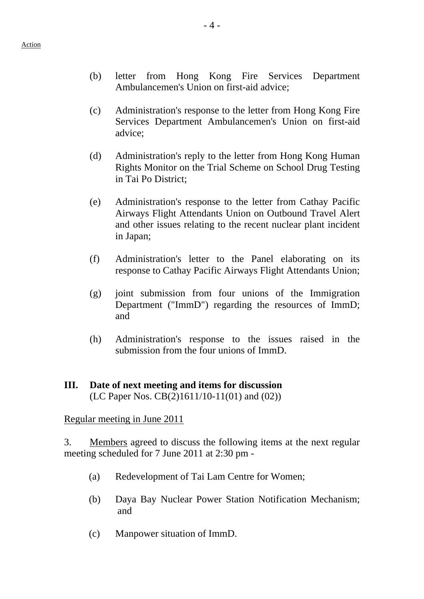- (b) letter from Hong Kong Fire Services Department Ambulancemen's Union on first-aid advice;
- (c) Administration's response to the letter from Hong Kong Fire Services Department Ambulancemen's Union on first-aid advice;
- (d) Administration's reply to the letter from Hong Kong Human Rights Monitor on the Trial Scheme on School Drug Testing in Tai Po District;
- (e) Administration's response to the letter from Cathay Pacific Airways Flight Attendants Union on Outbound Travel Alert and other issues relating to the recent nuclear plant incident in Japan;
- (f) Administration's letter to the Panel elaborating on its response to Cathay Pacific Airways Flight Attendants Union;
- (g) joint submission from four unions of the Immigration Department ("ImmD") regarding the resources of ImmD; and
- (h) Administration's response to the issues raised in the submission from the four unions of ImmD.

#### **III. Date of next meeting and items for discussion**  (LC Paper Nos. CB(2)1611/10-11(01) and (02))

Regular meeting in June 2011

3. Members agreed to discuss the following items at the next regular meeting scheduled for 7 June 2011 at 2:30 pm -

- (a) Redevelopment of Tai Lam Centre for Women;
- (b) Daya Bay Nuclear Power Station Notification Mechanism; and
- (c) Manpower situation of ImmD.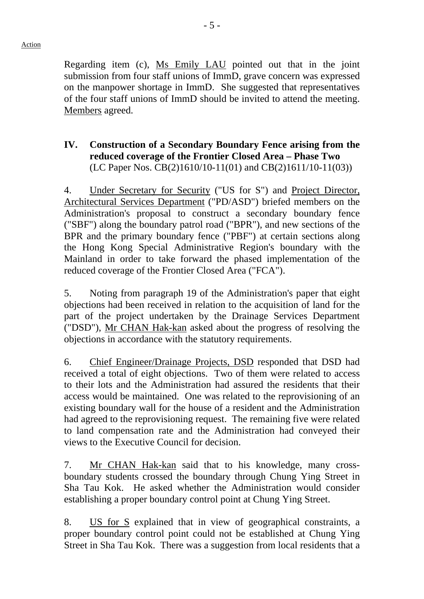Regarding item (c), Ms Emily LAU pointed out that in the joint submission from four staff unions of ImmD, grave concern was expressed on the manpower shortage in ImmD. She suggested that representatives of the four staff unions of ImmD should be invited to attend the meeting. Members agreed.

### **IV. Construction of a Secondary Boundary Fence arising from the reduced coverage of the Frontier Closed Area – Phase Two**  (LC Paper Nos. CB(2)1610/10-11(01) and CB(2)1611/10-11(03))

4. Under Secretary for Security ("US for S") and Project Director, Architectural Services Department ("PD/ASD") briefed members on the Administration's proposal to construct a secondary boundary fence ("SBF") along the boundary patrol road ("BPR"), and new sections of the BPR and the primary boundary fence ("PBF") at certain sections along the Hong Kong Special Administrative Region's boundary with the Mainland in order to take forward the phased implementation of the reduced coverage of the Frontier Closed Area ("FCA").

5. Noting from paragraph 19 of the Administration's paper that eight objections had been received in relation to the acquisition of land for the part of the project undertaken by the Drainage Services Department ("DSD"), Mr CHAN Hak-kan asked about the progress of resolving the objections in accordance with the statutory requirements.

6. Chief Engineer/Drainage Projects, DSD responded that DSD had received a total of eight objections. Two of them were related to access to their lots and the Administration had assured the residents that their access would be maintained. One was related to the reprovisioning of an existing boundary wall for the house of a resident and the Administration had agreed to the reprovisioning request. The remaining five were related to land compensation rate and the Administration had conveyed their views to the Executive Council for decision.

7. Mr CHAN Hak-kan said that to his knowledge, many crossboundary students crossed the boundary through Chung Ying Street in Sha Tau Kok. He asked whether the Administration would consider establishing a proper boundary control point at Chung Ying Street.

8. US for S explained that in view of geographical constraints, a proper boundary control point could not be established at Chung Ying Street in Sha Tau Kok. There was a suggestion from local residents that a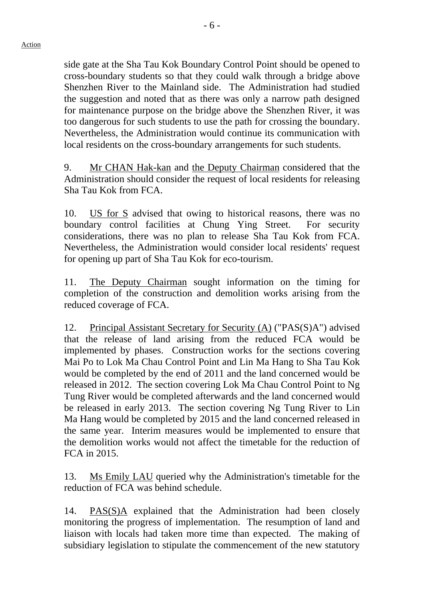side gate at the Sha Tau Kok Boundary Control Point should be opened to cross-boundary students so that they could walk through a bridge above Shenzhen River to the Mainland side. The Administration had studied the suggestion and noted that as there was only a narrow path designed for maintenance purpose on the bridge above the Shenzhen River, it was too dangerous for such students to use the path for crossing the boundary. Nevertheless, the Administration would continue its communication with local residents on the cross-boundary arrangements for such students.

9. Mr CHAN Hak-kan and the Deputy Chairman considered that the Administration should consider the request of local residents for releasing Sha Tau Kok from FCA.

10. US for S advised that owing to historical reasons, there was no boundary control facilities at Chung Ying Street. For security considerations, there was no plan to release Sha Tau Kok from FCA. Nevertheless, the Administration would consider local residents' request for opening up part of Sha Tau Kok for eco-tourism.

11. The Deputy Chairman sought information on the timing for completion of the construction and demolition works arising from the reduced coverage of FCA.

12. Principal Assistant Secretary for Security (A) ("PAS(S)A") advised that the release of land arising from the reduced FCA would be implemented by phases. Construction works for the sections covering Mai Po to Lok Ma Chau Control Point and Lin Ma Hang to Sha Tau Kok would be completed by the end of 2011 and the land concerned would be released in 2012. The section covering Lok Ma Chau Control Point to Ng Tung River would be completed afterwards and the land concerned would be released in early 2013. The section covering Ng Tung River to Lin Ma Hang would be completed by 2015 and the land concerned released in the same year. Interim measures would be implemented to ensure that the demolition works would not affect the timetable for the reduction of FCA in 2015.

13. Ms Emily LAU queried why the Administration's timetable for the reduction of FCA was behind schedule.

14. PAS(S)A explained that the Administration had been closely monitoring the progress of implementation. The resumption of land and liaison with locals had taken more time than expected. The making of subsidiary legislation to stipulate the commencement of the new statutory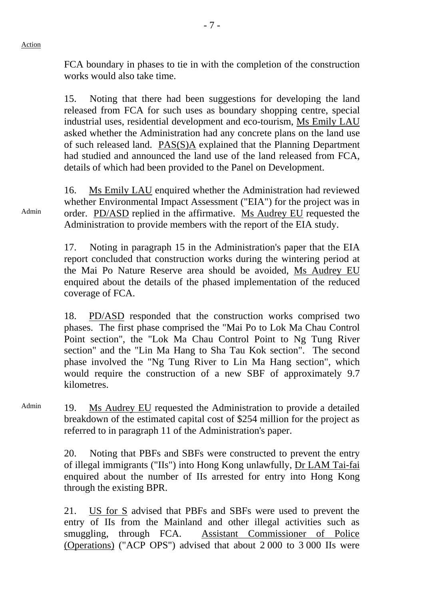Admin

FCA boundary in phases to tie in with the completion of the construction works would also take time.

- 7 -

15. Noting that there had been suggestions for developing the land released from FCA for such uses as boundary shopping centre, special industrial uses, residential development and eco-tourism, Ms Emily LAU asked whether the Administration had any concrete plans on the land use of such released land. PAS(S)A explained that the Planning Department had studied and announced the land use of the land released from FCA, details of which had been provided to the Panel on Development.

16. Ms Emily LAU enquired whether the Administration had reviewed whether Environmental Impact Assessment ("EIA") for the project was in order. PD/ASD replied in the affirmative. Ms Audrey EU requested the Administration to provide members with the report of the EIA study.

17. Noting in paragraph 15 in the Administration's paper that the EIA report concluded that construction works during the wintering period at the Mai Po Nature Reserve area should be avoided, Ms Audrey EU enquired about the details of the phased implementation of the reduced coverage of FCA.

18. PD/ASD responded that the construction works comprised two phases. The first phase comprised the "Mai Po to Lok Ma Chau Control Point section", the "Lok Ma Chau Control Point to Ng Tung River section" and the "Lin Ma Hang to Sha Tau Kok section". The second phase involved the "Ng Tung River to Lin Ma Hang section", which would require the construction of a new SBF of approximately 9.7 kilometres.

Admin 19. Ms Audrey EU requested the Administration to provide a detailed breakdown of the estimated capital cost of \$254 million for the project as referred to in paragraph 11 of the Administration's paper.

> 20. Noting that PBFs and SBFs were constructed to prevent the entry of illegal immigrants ("IIs") into Hong Kong unlawfully, Dr LAM Tai-fai enquired about the number of IIs arrested for entry into Hong Kong through the existing BPR.

> 21. US for S advised that PBFs and SBFs were used to prevent the entry of IIs from the Mainland and other illegal activities such as smuggling, through FCA. Assistant Commissioner of Police (Operations) ("ACP OPS") advised that about 2 000 to 3 000 IIs were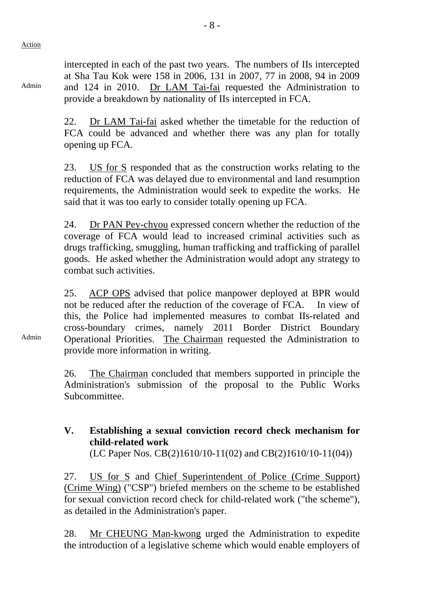Action

Admin

intercepted in each of the past two years. The numbers of IIs intercepted at Sha Tau Kok were 158 in 2006, 131 in 2007, 77 in 2008, 94 in 2009 and 124 in 2010. Dr LAM Tai-fai requested the Administration to provide a breakdown by nationality of IIs intercepted in FCA.

22. Dr LAM Tai-fai asked whether the timetable for the reduction of FCA could be advanced and whether there was any plan for totally opening up FCA.

23. US for S responded that as the construction works relating to the reduction of FCA was delayed due to environmental and land resumption requirements, the Administration would seek to expedite the works. He said that it was too early to consider totally opening up FCA.

24. Dr PAN Pey-chyou expressed concern whether the reduction of the coverage of FCA would lead to increased criminal activities such as drugs trafficking, smuggling, human trafficking and trafficking of parallel goods. He asked whether the Administration would adopt any strategy to combat such activities.

25. ACP OPS advised that police manpower deployed at BPR would not be reduced after the reduction of the coverage of FCA. In view of this, the Police had implemented measures to combat IIs-related and cross-boundary crimes, namely 2011 Border District Boundary Operational Priorities. The Chairman requested the Administration to provide more information in writing.

26. The Chairman concluded that members supported in principle the Administration's submission of the proposal to the Public Works Subcommittee.

# **V. Establishing a sexual conviction record check mechanism for child-related work**

(LC Paper Nos. CB(2)1610/10-11(02) and CB(2)1610/10-11(04))

27. US for S and Chief Superintendent of Police (Crime Support) (Crime Wing) ("CSP") briefed members on the scheme to be established for sexual conviction record check for child-related work ("the scheme"), as detailed in the Administration's paper.

28. Mr CHEUNG Man-kwong urged the Administration to expedite the introduction of a legislative scheme which would enable employers of

Admin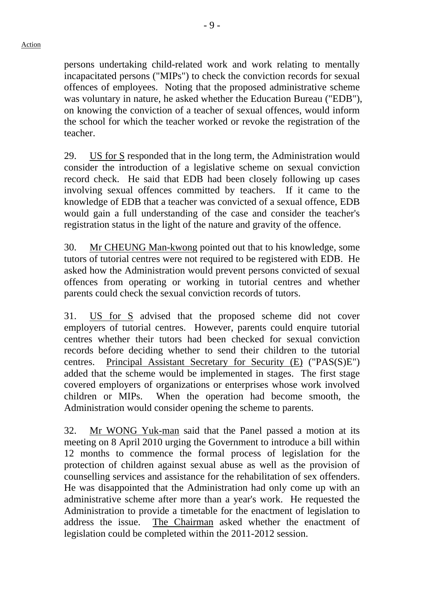- 9 -

persons undertaking child-related work and work relating to mentally incapacitated persons ("MIPs") to check the conviction records for sexual offences of employees. Noting that the proposed administrative scheme was voluntary in nature, he asked whether the Education Bureau ("EDB"), on knowing the conviction of a teacher of sexual offences, would inform the school for which the teacher worked or revoke the registration of the teacher.

29. US for S responded that in the long term, the Administration would consider the introduction of a legislative scheme on sexual conviction record check. He said that EDB had been closely following up cases involving sexual offences committed by teachers. If it came to the knowledge of EDB that a teacher was convicted of a sexual offence, EDB would gain a full understanding of the case and consider the teacher's registration status in the light of the nature and gravity of the offence.

30. Mr CHEUNG Man-kwong pointed out that to his knowledge, some tutors of tutorial centres were not required to be registered with EDB. He asked how the Administration would prevent persons convicted of sexual offences from operating or working in tutorial centres and whether parents could check the sexual conviction records of tutors.

31. US for S advised that the proposed scheme did not cover employers of tutorial centres. However, parents could enquire tutorial centres whether their tutors had been checked for sexual conviction records before deciding whether to send their children to the tutorial centres. Principal Assistant Secretary for Security (E) ("PAS(S)E") added that the scheme would be implemented in stages. The first stage covered employers of organizations or enterprises whose work involved children or MIPs. When the operation had become smooth, the Administration would consider opening the scheme to parents.

32. Mr WONG Yuk-man said that the Panel passed a motion at its meeting on 8 April 2010 urging the Government to introduce a bill within 12 months to commence the formal process of legislation for the protection of children against sexual abuse as well as the provision of counselling services and assistance for the rehabilitation of sex offenders. He was disappointed that the Administration had only come up with an administrative scheme after more than a year's work. He requested the Administration to provide a timetable for the enactment of legislation to address the issue. The Chairman asked whether the enactment of legislation could be completed within the 2011-2012 session.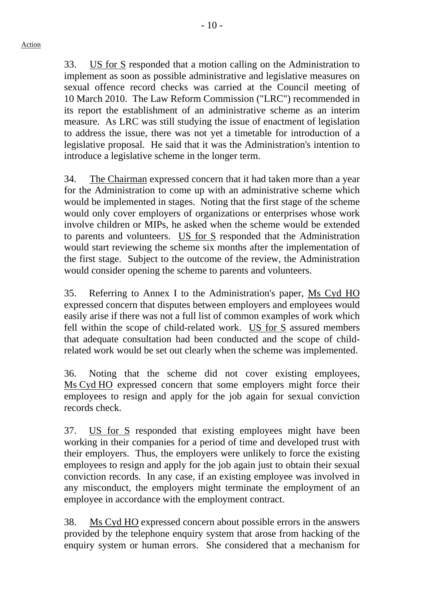$-10-$ 

33. US for S responded that a motion calling on the Administration to implement as soon as possible administrative and legislative measures on sexual offence record checks was carried at the Council meeting of 10 March 2010. The Law Reform Commission ("LRC") recommended in its report the establishment of an administrative scheme as an interim measure. As LRC was still studying the issue of enactment of legislation to address the issue, there was not yet a timetable for introduction of a legislative proposal. He said that it was the Administration's intention to introduce a legislative scheme in the longer term.

34. The Chairman expressed concern that it had taken more than a year for the Administration to come up with an administrative scheme which would be implemented in stages. Noting that the first stage of the scheme would only cover employers of organizations or enterprises whose work involve children or MIPs, he asked when the scheme would be extended to parents and volunteers. US for S responded that the Administration would start reviewing the scheme six months after the implementation of the first stage. Subject to the outcome of the review, the Administration would consider opening the scheme to parents and volunteers.

35. Referring to Annex I to the Administration's paper, Ms Cyd HO expressed concern that disputes between employers and employees would easily arise if there was not a full list of common examples of work which fell within the scope of child-related work. US for S assured members that adequate consultation had been conducted and the scope of childrelated work would be set out clearly when the scheme was implemented.

36. Noting that the scheme did not cover existing employees, Ms Cyd HO expressed concern that some employers might force their employees to resign and apply for the job again for sexual conviction records check.

37. US for S responded that existing employees might have been working in their companies for a period of time and developed trust with their employers. Thus, the employers were unlikely to force the existing employees to resign and apply for the job again just to obtain their sexual conviction records. In any case, if an existing employee was involved in any misconduct, the employers might terminate the employment of an employee in accordance with the employment contract.

38. Ms Cyd HO expressed concern about possible errors in the answers provided by the telephone enquiry system that arose from hacking of the enquiry system or human errors. She considered that a mechanism for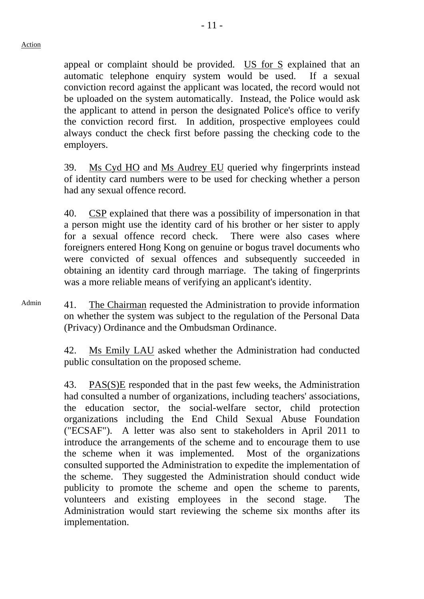appeal or complaint should be provided. US for S explained that an automatic telephone enquiry system would be used. If a sexual conviction record against the applicant was located, the record would not be uploaded on the system automatically. Instead, the Police would ask the applicant to attend in person the designated Police's office to verify the conviction record first. In addition, prospective employees could always conduct the check first before passing the checking code to the employers.

39. Ms Cyd HO and Ms Audrey EU queried why fingerprints instead of identity card numbers were to be used for checking whether a person had any sexual offence record.

40. CSP explained that there was a possibility of impersonation in that a person might use the identity card of his brother or her sister to apply for a sexual offence record check. There were also cases where foreigners entered Hong Kong on genuine or bogus travel documents who were convicted of sexual offences and subsequently succeeded in obtaining an identity card through marriage. The taking of fingerprints was a more reliable means of verifying an applicant's identity.

Admin 41. The Chairman requested the Administration to provide information on whether the system was subject to the regulation of the Personal Data (Privacy) Ordinance and the Ombudsman Ordinance.

> 42. Ms Emily LAU asked whether the Administration had conducted public consultation on the proposed scheme.

> 43. PAS(S)E responded that in the past few weeks, the Administration had consulted a number of organizations, including teachers' associations, the education sector, the social-welfare sector, child protection organizations including the End Child Sexual Abuse Foundation ("ECSAF"). A letter was also sent to stakeholders in April 2011 to introduce the arrangements of the scheme and to encourage them to use the scheme when it was implemented. Most of the organizations consulted supported the Administration to expedite the implementation of the scheme. They suggested the Administration should conduct wide publicity to promote the scheme and open the scheme to parents, volunteers and existing employees in the second stage. The Administration would start reviewing the scheme six months after its implementation.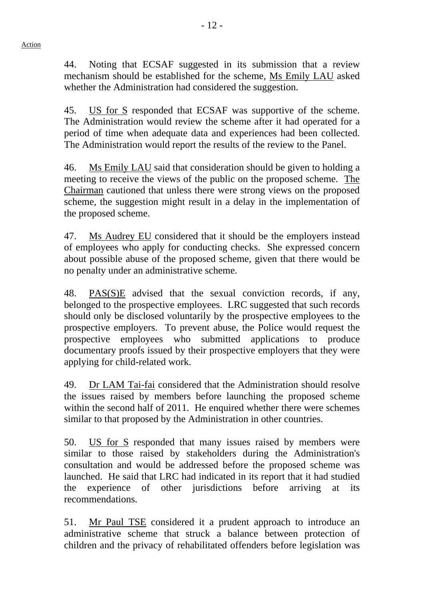44. Noting that ECSAF suggested in its submission that a review mechanism should be established for the scheme, Ms Emily LAU asked whether the Administration had considered the suggestion.

45. US for S responded that ECSAF was supportive of the scheme. The Administration would review the scheme after it had operated for a period of time when adequate data and experiences had been collected. The Administration would report the results of the review to the Panel.

46. Ms Emily LAU said that consideration should be given to holding a meeting to receive the views of the public on the proposed scheme. The Chairman cautioned that unless there were strong views on the proposed scheme, the suggestion might result in a delay in the implementation of the proposed scheme.

47. Ms Audrey EU considered that it should be the employers instead of employees who apply for conducting checks. She expressed concern about possible abuse of the proposed scheme, given that there would be no penalty under an administrative scheme.

48. PAS(S)E advised that the sexual conviction records, if any, belonged to the prospective employees. LRC suggested that such records should only be disclosed voluntarily by the prospective employees to the prospective employers. To prevent abuse, the Police would request the prospective employees who submitted applications to produce documentary proofs issued by their prospective employers that they were applying for child-related work.

49. Dr LAM Tai-fai considered that the Administration should resolve the issues raised by members before launching the proposed scheme within the second half of 2011. He enquired whether there were schemes similar to that proposed by the Administration in other countries.

50. US for S responded that many issues raised by members were similar to those raised by stakeholders during the Administration's consultation and would be addressed before the proposed scheme was launched. He said that LRC had indicated in its report that it had studied the experience of other jurisdictions before arriving at its recommendations.

51. Mr Paul TSE considered it a prudent approach to introduce an administrative scheme that struck a balance between protection of children and the privacy of rehabilitated offenders before legislation was